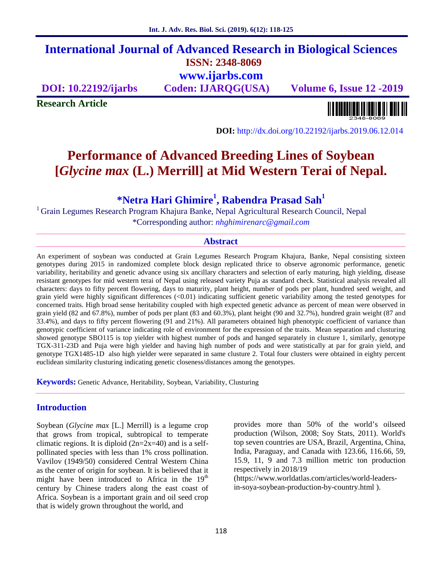## **International Journal of Advanced Research in Biological Sciences ISSN: 2348-8069 www.ijarbs.com**

**DOI: 10.22192/ijarbs Coden: IJARQG(USA) Volume 6, Issue 12 -2019**

**Research Article**

<u> ALANDININ INDILLI ANI AN</u>

**DOI:** http://dx.doi.org/10.22192/ijarbs.2019.06.12.014

# **Performance of Advanced Breeding Lines of Soybean [***Glycine max* **(L.) Merrill] at Mid Western Terai of Nepal.**

**\*Netra Hari Ghimire<sup>1</sup> , Rabendra Prasad Sah<sup>1</sup>**

<sup>1</sup> Grain Legumes Research Program Khajura Banke, Nepal Agricultural Research Council, Nepal \*Corresponding author: *nhghimirenarc@gmail.com*

#### **Abstract**

An experiment of soybean was conducted at Grain Legumes Research Program Khajura, Banke, Nepal consisting sixteen genotypes during 2015 in randomized complete block design replicated thrice to observe agronomic performance, genetic variability, heritability and genetic advance using six ancillary characters and selection of early maturing, high yielding, disease resistant genotypes for mid western terai of Nepal using released variety Puja as standard check. Statistical analysis revealed all characters: days to fifty percent flowering, days to maturity, plant height, number of pods per plant, hundred seed weight, and grain yield were highly significant differences (<0.01) indicating sufficient genetic variability among the tested genotypes for concerned traits. High broad sense heritability coupled with high expected genetic advance as percent of mean were observed in grain yield (82 and 67.8%), number of pods per plant (83 and 60.3%), plant height (90 and 32.7%), hundred grain weight (87 and 33.4%), and days to fifty percent flowering (91 and 21%). All parameters obtained high phenotypic coefficient of variance than genotypic coefficient of variance indicating role of environment for the expression of the traits. Mean separation and clusturing showed genotype SBO115 is top yielder with highest number of pods and hanged separately in clusture 1, similarly, genotype TGX-311-23D and Puja were high yielder and having high number of pods and were statistically at par for grain yield, and genotype TGX1485-1D also high yielder were separated in same clusture 2. Total four clusters were obtained in eighty percent euclidean similarity clusturing indicating genetic closeness/distances among the genotypes.

**Keywords:** Genetic Advance, Heritability, Soybean, Variability, Clusturing

## **Introduction**

Soybean (*Glycine max* [L.] Merrill) is a legume crop that grows from tropical, subtropical to temperate climatic regions. It is diploid  $(2n=2x=40)$  and is a selfpollinated species with less than 1% cross pollination. Vavilov (1949/50) considered Central Western China as the center of origin for soybean. It is believed that it might have been introduced to Africa in the  $19<sup>th</sup>$ century by Chinese traders along the east coast of Africa. Soybean is a important grain and oil seed crop that is widely grown throughout the world, and

provides more than 50% of the world's oilseed production (Wilson, 2008; Soy Stats, 2011). World's top seven countries are USA, Brazil, Argentina, China, India, Paraguay, and Canada with 123.66, 116.66, 59, 15.9, 11, 9 and 7.3 million metric ton production respectively in 2018/19 (https://www.worldatlas.com/articles/world-leaders-

in-soya-soybean-production-by-country.html ).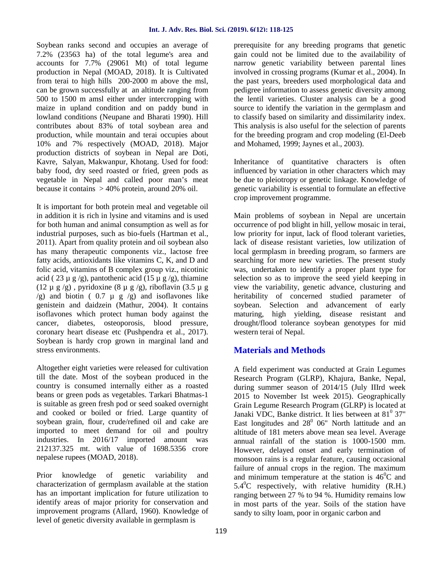Soybean ranks second and occupies an average of 7.2% (23563 ha) of the total legume's area and accounts for 7.7% (29061 Mt) of total legume production in Nepal (MOAD, 2018). It is Cultivated from terai to high hills 200-2000 m above the msl, can be grown successfully at an altitude ranging from 500 to 1500 m amsl either under intercropping with maize in upland condition and on paddy bund in lowland conditions (Neupane and Bharati 1990). Hill contributes about 83% of total soybean area and production, while mountain and terai occupies about 10% and 7% respectively (MOAD, 2018). Major production districts of soybean in Nepal are Doti, Kavre, Salyan, Makwanpur, Khotang. Used for food: baby food, dry seed roasted or fried, green pods as vegetable in Nepal and called poor man's meat because it contains  $> 40\%$  protein, around 20% oil.

It is important for both protein meal and vegetable oil in addition it is rich in lysine and vitamins and is used for both human and animal consumption as well as for industrial purposes, such as bio-fuels (Hartman et al., 2011). Apart from quality protein and oil soybean also has many therapeutic components viz., lactose free fatty acids, antioxidants like vitamins C, K, and D and folic acid, vitamins of B complex group viz., nicotinic acid ( 23  $\mu$  g /g), pantothenic acid (15  $\mu$  g /g), thiamine (12  $\mu$  g /g), pyridoxine (8  $\mu$  g /g), riboflavin (3.5  $\mu$  g  $(g)$  and biotin (0.7  $\mu$  g  $/g$ ) and isoflavones like genistein and daidzein (Mathur, 2004). It contains isoflavones which protect human body against the cancer, diabetes, osteoporosis, blood pressure, coronary heart disease etc (Pushpendra et al., 2017). Soybean is hardy crop grown in marginal land and stress environments.

Altogether eight varieties were released for cultivation till the date. Most of the soybean produced in the country is consumed internally either as a roasted beans or green pods as vegetables. Tarkari Bhatmas-1 is suitable as green fresh pod or seed soaked overnight and cooked or boiled or fried. Large quantity of soybean grain, flour, crude/refined oil and cake are imported to meet demand for oil and poultry industries. In 2016/17 imported amount was 212137.325 mt. with value of 1698.5356 crore nepalese rupees (MOAD, 2018).

Prior knowledge of genetic variability and characterization of germplasm available at the station has an important implication for future utilization to identify areas of major priority for conservation and improvement programs (Allard, 1960). Knowledge of level of genetic diversity available in germplasm is

prerequisite for any breeding programs that genetic gain could not be limited due to the availability of narrow genetic variability between parental lines involved in crossing programs (Kumar et al., 2004). In the past years, breeders used morphological data and pedigree information to assess genetic diversity among the lentil varieties. Cluster analysis can be a good source to identify the variation in the germplasm and to classify based on similarity and dissimilarity index. This analysis is also useful for the selection of parents for the breeding program and crop modeling (El-Deeb and Mohamed, 1999; Jaynes et al., 2003).

Inheritance of quantitative characters is often influenced by variation in other characters which may be due to pleiotropy or genetic linkage. Knowledge of genetic variability is essential to formulate an effective crop improvement programme.

Main problems of soybean in Nepal are uncertain occurrence of pod blight in hill, yellow mosaic in terai, low priority for input, lack of flood tolerant varieties, lack of disease resistant varieties, low utilization of local germplasm in breeding program, so farmers are searching for more new varieties. The present study was, undertaken to identify a proper plant type for selection so as to improve the seed yield keeping in view the variability, genetic advance, clusturing and heritability of concerned studied parameter of soybean. Selection and advancement of early maturing, high yielding, disease resistant and drought/flood tolerance soybean genotypes for mid western terai of Nepal.

## **Materials and Methods**

A field experiment was conducted at Grain Legumes Research Program (GLRP), Khajura, Banke, Nepal, during summer season of 2014/15 (July IIIrd week 2015 to November Ist week 2015). Geographically Grain Legume Research Program (GLRP) is located at Janaki VDC, Banke district. It lies between at  $81^{\circ}$  37" East longitudes and  $28^0$  06" North lattitude and an altitude of 181 meters above mean sea level. Average annual rainfall of the station is 1000-1500 mm. However, delayed onset and early termination of monsoon rains is a regular feature, causing occasional failure of annual crops in the region. The maximum and minimum temperature at the station is  $46^{\circ}$ C and  $5.4^{\circ}$ C respectively, with relative humidity (R.H.) ranging between 27 % to 94 %. Humidity remains low in most parts of the year. Soils of the station have sandy to silty loam, poor in organic carbon and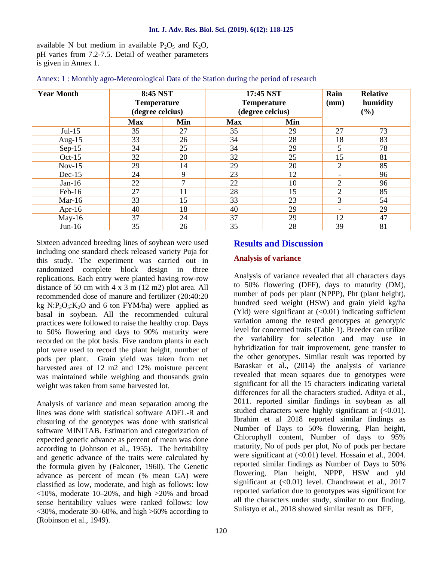available N but medium in available  $P_2O_5$  and  $K_2O$ , pH varies from 7.2-7.5. Detail of weather parameters is given in Annex 1.

| <b>Year Month</b> | 8:45 NST<br><b>Temperature</b><br>(degree celcius) |                |            | 17:45 NST<br><b>Temperature</b><br>(degree celcius) | Rain<br>(mm)             | <b>Relative</b><br>humidity<br>(%) |
|-------------------|----------------------------------------------------|----------------|------------|-----------------------------------------------------|--------------------------|------------------------------------|
|                   | <b>Max</b>                                         | Min            | <b>Max</b> | Min                                                 |                          |                                    |
| $Jul-15$          | 35                                                 | 27             | 35         | 29                                                  | 27                       | 73                                 |
| Aug- $15$         | 33                                                 | 26             | 34         | 28                                                  | 18                       | 83                                 |
| $Sep-15$          | 34                                                 | 25             | 34         | 29                                                  | 5                        | 78                                 |
| $Oct-15$          | 32                                                 | 20             | 32         | 25                                                  | 15                       | 81                                 |
| $Nov-15$          | 29                                                 | 14             | 29         | 20                                                  | $\overline{2}$           | 85                                 |
| $Dec-15$          | 24                                                 | 9              | 23         | 12                                                  | $\overline{\phantom{0}}$ | 96                                 |
| Jan-16            | 22                                                 | $\overline{ }$ | 22         | 10                                                  | $\gamma$                 | 96                                 |
| Feb-16            | 27                                                 | 11             | 28         | 15                                                  | $\overline{2}$           | 85                                 |
| Mar-16            | 33                                                 | 15             | 33         | 23                                                  | 3                        | 54                                 |
| Apr-16            | 40                                                 | 18             | 40         | 29                                                  | $\overline{\phantom{0}}$ | 29                                 |
| $May-16$          | 37                                                 | 24             | 37         | 29                                                  | 12                       | 47                                 |
| $Jun-16$          | 35                                                 | 26             | 35         | 28                                                  | 39                       | 81                                 |

Annex: 1 : Monthly agro-Meteorological Data of the Station during the period of research

Sixteen advanced breeding lines of soybean were used including one standard check released variety Puja for this study. The experiment was carried out in randomized complete block design in three replications. Each entry were planted having row-row distance of 50 cm with  $4 \times 3$  m (12 m2) plot area. All recommended dose of manure and fertilizer (20:40:20 kg  $N: P_2O_5: K_2O$  and 6 ton FYM/ha) were applied as basal in soybean. All the recommended cultural practices were followed to raise the healthy crop. Days to 50% flowering and days to 90% maturity were recorded on the plot basis. Five random plants in each plot were used to record the plant height, number of pods per plant. Grain yield was taken from net harvested area of 12 m2 and 12% moisture percent was maintained while weighing and thousands grain weight was taken from same harvested lot.

Analysis of variance and mean separation among the lines was done with statistical software ADEL-R and clusuring of the genotypes was done with statistical software MINITAB. Estimation and categorization of expected genetic advance as percent of mean was done according to (Johnson et al., 1955). The heritability and genetic advance of the traits were calculated by the formula given by (Falconer, 1960). The Genetic advance as percent of mean (% mean GA) were classified as low, moderate, and high as follows: low <10%, moderate 10–20%, and high >20% and broad sense heritability values were ranked follows: low  $<30\%$ , moderate 30–60%, and high  $>60\%$  according to (Robinson et al., 1949).

### **Results and Discussion**

#### **Analysis of variance**

Analysis of variance revealed that all characters days to 50% flowering (DFF), days to maturity (DM), number of pods per plant (NPPP), Pht (plant height), hundred seed weight (HSW) and grain yield kg/ha (Yld) were significant at  $(<0.01$ ) indicating sufficient variation among the tested genotypes at genotypic level for concerned traits (Table 1). Breeder can utilize the variability for selection and may use in hybridization for trait improvement, gene transfer to the other genotypes. Similar result was reported by Baraskar et al., (2014) the analysis of variance revealed that mean squares due to genotypes were significant for all the 15 characters indicating varietal differences for all the characters studied. Aditya et al., 2011. reported similar findings in soybean as all studied characters were highly significant at  $(<0.01$ ). Ibrahim et al 2018 reported similar findings as Number of Days to 50% flowering, Plan height, Chlorophyll content, Number of days to 95% maturity, No of pods per plot, No of pods per hectare were significant at  $(<0.01$ ) level. Hossain et al., 2004. reported similar findings as Number of Days to 50% flowering, Plan height, NPPP, HSW and yld significant at  $( $0.01$ ) level. Chandrawat et al., 2017$ reported variation due to genotypes was significant for all the characters under study, similar to our finding. Sulistyo et al., 2018 showed similar result as DFF,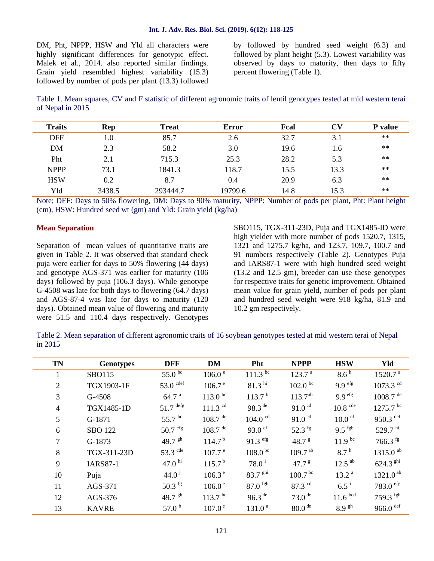DM, Pht, NPPP, HSW and Yld all characters were highly significant differences for genotypic effect. Malek et al., 2014. also reported similar findings. Grain yield resembled highest variability (15.3) followed by number of pods per plant (13.3) followed

by followed by hundred seed weight (6.3) and followed by plant height (5.3). Lowest variability was observed by days to maturity, then days to fifty percent flowering (Table 1).

Table 1. Mean squares, CV and F statistic of different agronomic traits of lentil genotypes tested at mid western terai of Nepal in 2015

| <b>Traits</b> | Rep    | <b>Treat</b> | <b>Error</b> | Fcal | $\mathbf{C}\mathbf{V}$ | <b>P</b> value |
|---------------|--------|--------------|--------------|------|------------------------|----------------|
| <b>DFF</b>    | 1.0    | 85.7         | 2.6          | 32.7 | 3.1                    | $**$           |
| <b>DM</b>     | 2.3    | 58.2         | 3.0          | 19.6 | 1.6                    | $**$           |
| Pht           | 2.1    | 715.3        | 25.3         | 28.2 | 5.3                    | $**$           |
| <b>NPPP</b>   | 73.1   | 1841.3       | 118.7        | 15.5 | 13.3                   | $***$          |
| <b>HSW</b>    | 0.2    | 8.7          | 0.4          | 20.9 | 6.3                    | $**$           |
| Yld           | 3438.5 | 293444.7     | 19799.6      | 14.8 | 15.3                   | $***$          |

Note; DFF: Days to 50% flowering, DM: Days to 90% maturity, NPPP: Number of pods per plant, Pht: Plant height (cm), HSW: Hundred seed wt (gm) and Yld: Grain yield (kg/ha)

#### **Mean Separation**

Separation of mean values of quantitative traits are given in Table 2. It was observed that standard check puja were earlier for days to 50% flowering (44 days) and genotype AGS-371 was earlier for maturity (106 days) followed by puja (106.3 days). While genotype G-4508 was late for both days to flowering (64.7 days) and AGS-87-4 was late for days to maturity (120 days). Obtained mean value of flowering and maturity were 51.5 and 110.4 days respectively. Genotypes

SBO115, TGX-311-23D, Puja and TGX1485-ID were high yielder with more number of pods 1520.7, 1315, 1321 and 1275.7 kg/ha, and 123.7, 109.7, 100.7 and 91 numbers respectively (Table 2). Genotypes Puja and IARS87-1 were with high hundred seed weight (13.2 and 12.5 gm), breeder can use these genotypes for respective traits for genetic improvement. Obtained mean value for grain yield, number of pods per plant and hundred seed weight were 918 kg/ha, 81.9 and 10.2 gm respectively.

Table 2. Mean separation of different agronomic traits of 16 soybean genotypes tested at mid western terai of Nepal in 2015

| <b>TN</b>      | <b>Genotypes</b> | <b>DFF</b>             | <b>DM</b>                    | Pht                            | <b>NPPP</b>          | <b>HSW</b>           | Yld                    |
|----------------|------------------|------------------------|------------------------------|--------------------------------|----------------------|----------------------|------------------------|
| $\mathbf{1}$   | <b>SBO115</b>    | 55.0 $^{bc}$           | 106.0 <sup>e</sup>           | $111.3 \text{ }^{\text{bc}}$   | 123.7 <sup>a</sup>   | 8.6 <sup>h</sup>     | 1520.7 <sup>a</sup>    |
| 2              | TGX1903-1F       | $53.0$ cdef            | 106.7 <sup>e</sup>           | $81.3$ hi                      | $102.0 \text{ pc}$   | $9.9$ efg            | 1073.3 $^{cd}$         |
| 3              | G-4508           | 64.7 $^{a}$            | $113.0^{bc}$                 | 113.7 <sup>b</sup>             | $113.7^{ab}$         | $9.9$ efg            | $1008.7$ <sup>de</sup> |
| $\overline{4}$ | TGX1485-1D       | $51.7$ <sup>defg</sup> | $111.3$ <sup>cd</sup>        | 98.3 $de$                      | 91.0 <sup>cd</sup>   | $10.8$ cde           | $1275.7$ <sup>bc</sup> |
| 5              | G-1871           | 55.7 bc                | $108.7$ <sup>de</sup>        | $104.0$ <sup>cd</sup>          | 91.0 <sup>cd</sup>   | $10.0$ ef            | $950.3$ <sup>def</sup> |
| 6              | <b>SBO 122</b>   | $50.7$ efg             | $108.7$ <sup>de</sup>        | 93.0 $\mathrm{e}^{\mathrm{f}}$ | 52.3 $\frac{fg}{g}$  | $9.5$ fgh            | 529.7 $^{\rm hi}$      |
| $\tau$         | G-1873           | 49.7 $\rm^{gh}$        | 114.7 <sup>b</sup>           | $91.3$ efg                     | 48.7 $8$             | $11.9^{bc}$          | $766.3$ fg             |
| 8              | TGX-311-23D      | 53.3 $\text{cde}$      | 107.7 <sup>e</sup>           | $108.0^{bc}$                   | $109.7^{ab}$         | 8.7 <sup>h</sup>     | 1315.0 $^{ab}$         |
| 9              | <b>IARS87-1</b>  | 47.0 $^{\rm hi}$       | 115.7 <sup>b</sup>           | $78.0^{\text{ i}}$             | 47.7 $8$             | $12.5$ <sup>ab</sup> | 624.3 $\rm ghi$        |
| 10             | Puja             | $44.0^{\text{ j}}$     | $106.3^{\circ}$              | $83.7$ ghi                     | 100.7 <sup>bc</sup>  | 13.2 <sup>a</sup>    | $1321.0^{ab}$          |
| 11             | AGS-371          | 50.3 ${^{fg}}$         | $106.0^{\circ}$              | $87.0$ fgh                     | 87.3 $^{cd}$         | $6.5^{\rm i}$        | $783.0$ efg            |
| 12             | AGS-376          | 49.7 $\rm^{gh}$        | $113.7 \text{ }^{\text{bc}}$ | 96.3 <sup>de</sup>             | $73.0$ <sup>de</sup> | 11.6 <sup>bcd</sup>  | $759.3$ fgh            |
| 13             | <b>KAVRE</b>     | 57.0 $^{\rm b}$        | 107.0 <sup>e</sup>           | 131.0 <sup>a</sup>             | 80.0 <sup>de</sup>   | $8.9$ sh             | $966.0$ <sup>def</sup> |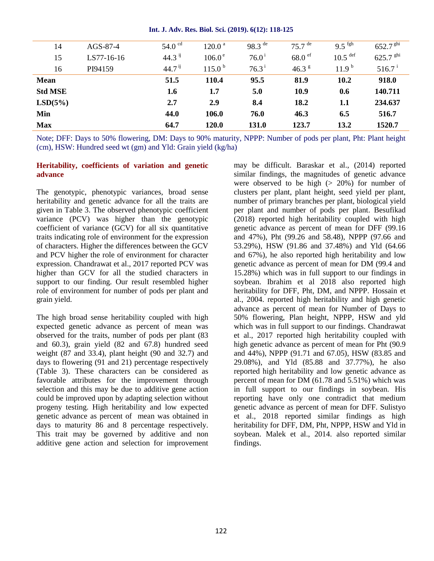| 14             | $AGS-87-4$ | 54.0 $\degree$ <sup>cd</sup> | 120.0 <sup>a</sup> | 98.3 $de$      | $75.7$ <sup>de</sup> | $9.5$ fgh             | 652.7 $\rm ^{ghi}$  |
|----------------|------------|------------------------------|--------------------|----------------|----------------------|-----------------------|---------------------|
| 15             | LS77-16-16 | $44.3$ ij                    | 106.0 <sup>e</sup> | $76.0^{\rm i}$ | $68.0$ ef            | $10.5$ <sup>def</sup> | $625.7$ ghi         |
| 16             | PI94159    | $44.7^{\text{ij}}$           | 115.0 <sup>b</sup> | $76.3^{\rm i}$ | 46.3 $8$             | 11.9 <sup>b</sup>     | $516.7^{\text{ i}}$ |
| <b>Mean</b>    |            | 51.5                         | 110.4              | 95.5           | 81.9                 | 10.2                  | 918.0               |
| <b>Std MSE</b> |            | 1.6                          | 1.7                | 5.0            | <b>10.9</b>          | 0.6                   | 140.711             |
| LSD(5%)        |            | 2.7                          | 2.9                | 8.4            | 18.2                 | 1.1                   | 234.637             |
| Min            |            | 44.0                         | 106.0              | 76.0           | 46.3                 | 6.5                   | 516.7               |
| <b>Max</b>     |            | 64.7                         | 120.0              | 131.0          | 123.7                | 13.2                  | 1520.7              |

#### **Int. J. Adv. Res. Biol. Sci. (2019). 6(12): 118-125**

Note; DFF: Days to 50% flowering, DM: Days to 90% maturity, NPPP: Number of pods per plant, Pht: Plant height (cm), HSW: Hundred seed wt (gm) and Yld: Grain yield (kg/ha)

#### **Heritability, coefficients of variation and genetic advance**

The genotypic, phenotypic variances, broad sense heritability and genetic advance for all the traits are given in Table 3. The observed phenotypic coefficient variance (PCV) was higher than the genotypic coefficient of variance (GCV) for all six quantitative traits indicating role of environment for the expression of characters. Higher the differences between the GCV and PCV higher the role of environment for character expression. Chandrawat et al., 2017 reported PCV was higher than GCV for all the studied characters in support to our finding. Our result resembled higher role of environment for number of pods per plant and grain yield.

The high broad sense heritability coupled with high expected genetic advance as percent of mean was observed for the traits, number of pods per plant (83 and 60.3), grain yield (82 and 67.8) hundred seed weight (87 and 33.4), plant height (90 and 32.7) and days to flowering (91 and 21) percentage respectively (Table 3). These characters can be considered as favorable attributes for the improvement through selection and this may be due to additive gene action could be improved upon by adapting selection without progeny testing. High heritability and low expected genetic advance as percent of mean was obtained in days to maturity 86 and 8 percentage respectively. This trait may be governed by additive and non additive gene action and selection for improvement may be difficult. Baraskar et al., (2014) reported similar findings, the magnitudes of genetic advance were observed to be high  $(> 20\%)$  for number of clusters per plant, plant height, seed yield per plant, number of primary branches per plant, biological yield per plant and number of pods per plant. Besufikad (2018) reported high heritability coupled with high genetic advance as percent of mean for DFF (99.16 and 47%), Pht (99.26 and 58.48), NPPP (97.66 and 53.29%), HSW (91.86 and 37.48%) and Yld (64.66 and 67%), he also reported high heritability and low genetic advance as percent of mean for DM (99.4 and 15.28%) which was in full support to our findings in soybean. Ibrahim et al 2018 also reported high heritability for DFF, Pht, DM, and NPPP. Hossain et al., 2004. reported high heritability and high genetic advance as percent of mean for Number of Days to 50% flowering, Plan height, NPPP, HSW and yld which was in full support to our findings. Chandrawat et al., 2017 reported high heritability coupled with high genetic advance as percent of mean for Pht (90.9 and 44%), NPPP (91.71 and 67.05), HSW (83.85 and 29.08%), and Yld (85.88 and 37.77%), he also reported high heritability and low genetic advance as percent of mean for DM (61.78 and 5.51%) which was in full support to our findings in soybean. His reporting have only one contradict that medium genetic advance as percent of mean for DFF. Sulistyo et al., 2018 reported similar findings as high heritability for DFF, DM, Pht, NPPP, HSW and Yld in soybean. Malek et al., 2014. also reported similar findings.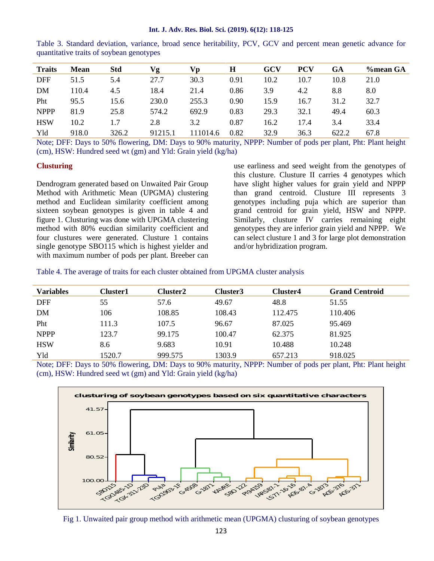| Int. J. Adv. Res. Biol. Sci. (2019). 6(12): 118-125 |  |  |
|-----------------------------------------------------|--|--|
|-----------------------------------------------------|--|--|

| <b>Traits</b> | Mean  | <b>Std</b> | Vg      | Vв       | H    | GCV  | <b>PCV</b> | GA    | %mean GA |
|---------------|-------|------------|---------|----------|------|------|------------|-------|----------|
| <b>DFF</b>    | 51.5  | 5.4        | 27.7    | 30.3     | 0.91 | 10.2 | 10.7       | 10.8  | 21.0     |
| <b>DM</b>     | 110.4 | 4.5        | 18.4    | 21.4     | 0.86 | 3.9  | 4.2        | 8.8   | 8.0      |
| Pht           | 95.5  | 15.6       | 230.0   | 255.3    | 0.90 | 15.9 | 16.7       | 31.2  | 32.7     |
| <b>NPPP</b>   | 81.9  | 25.8       | 574.2   | 692.9    | 0.83 | 29.3 | 32.1       | 49.4  | 60.3     |
| <b>HSW</b>    | 10.2  |            | 2.8     | 3.2      | 0.87 | 16.2 | 17.4       | 3.4   | 33.4     |
| Yld           | 918.0 | 326.2      | 91215.1 | 111014.6 | 0.82 | 32.9 | 36.3       | 622.2 | 67.8     |

Table 3. Standard deviation, variance, broad sence heritability, PCV, GCV and percent mean genetic advance for quantitative traits of soybean genotypes

Note; DFF: Days to 50% flowering, DM: Days to 90% maturity, NPPP: Number of pods per plant, Pht: Plant height (cm), HSW: Hundred seed wt (gm) and Yld: Grain yield (kg/ha)

#### **Clusturing**

Dendrogram generated based on Unwaited Pair Group Method with Arithmetic Mean (UPGMA) clustering method and Euclidean similarity coefficient among sixteen soybean genotypes is given in table 4 and figure 1. Clusturing was done with UPGMA clustering method with 80% eucdian similarity coefficient and four clustures were generated. Clusture 1 contains single genotype SBO115 which is highest yielder and with maximum number of pods per plant. Breeber can

use earliness and seed weight from the genotypes of this clusture. Clusture II carries 4 genotypes which have slight higher values for grain yield and NPPP than grand centroid. Clusture III represents 3 genotypes including puja which are superior than grand centroid for grain yield, HSW and NPPP. Similarly, clusture IV carries remaining eight genotypes they are inferior grain yield and NPPP. We can select clusture 1 and 3 for large plot demonstration and/or hybridization program.

Table 4. The average of traits for each cluster obtained from UPGMA cluster analysis

| <b>Variables</b> | Cluster1 | Cluster2 | Cluster3 | Cluster4 | <b>Grand Centroid</b> |
|------------------|----------|----------|----------|----------|-----------------------|
| <b>DFF</b>       | 55       | 57.6     | 49.67    | 48.8     | 51.55                 |
| DM               | 106      | 108.85   | 108.43   | 112.475  | 110.406               |
| Pht              | 111.3    | 107.5    | 96.67    | 87.025   | 95.469                |
| <b>NPPP</b>      | 123.7    | 99.175   | 100.47   | 62.375   | 81.925                |
| <b>HSW</b>       | 8.6      | 9.683    | 10.91    | 10.488   | 10.248                |
| Yld              | 1520.7   | 999.575  | 1303.9   | 657.213  | 918.025               |

Note; DFF: Days to 50% flowering, DM: Days to 90% maturity, NPPP: Number of pods per plant, Pht: Plant height (cm), HSW: Hundred seed wt (gm) and Yld: Grain yield (kg/ha)



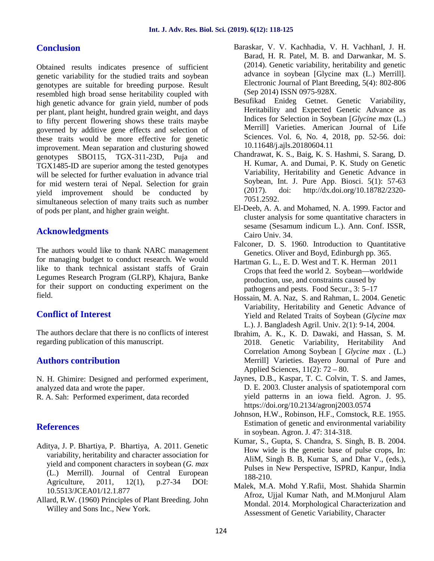## **Conclusion**

Obtained results indicates presence of sufficient genetic variability for the studied traits and soybean genotypes are suitable for breeding purpose. Result resembled high broad sense heritability coupled with high genetic advance for grain yield, number of pods per plant, plant height, hundred grain weight, and days to fifty percent flowering shows these traits maybe governed by additive gene effects and selection of these traits would be more effective for genetic improvement. Mean separation and clusturing showed genotypes SBO115, TGX-311-23D, Puja and TGX1485-ID are superior among the tested genotypes will be selected for further evaluation in advance trial for mid western terai of Nepal. Selection for grain yield improvement should be conducted by simultaneous selection of many traits such as number of pods per plant, and higher grain weight.

## **Acknowledgments**

The authors would like to thank NARC management for managing budget to conduct research. We would like to thank technical assistant staffs of Grain Legumes Research Program (GLRP), Khajura, Banke for their support on conducting experiment on the field.

## **Conflict of Interest**

The authors declare that there is no conflicts of interest regarding publication of this manuscript.

## **Authors contribution**

N. H. Ghimire: Designed and performed experiment, analyzed data and wrote the paper.

R. A. Sah: Performed experiment, data recorded

## **References**

- Aditya, J. P. Bhartiya, P. Bhartiya, A. 2011. Genetic variability, heritability and character association for yield and component characters in soybean (*G. max* (L.) Merrill). Journal of Central European Agriculture, 2011, 12(1), p.27-34 DOI: 10.5513/JCEA01/12.1.877
- Allard, R.W. (1960) Principles of Plant Breeding. John Willey and Sons Inc., New York.
- Baraskar, V. V. Kachhadia, V. H. VachhanI, J. H. Barad, H. R. Patel, M. B. and Darwankar, M. S. (2014). Genetic variability, heritability and genetic advance in soybean [Glycine max (L.) Merrill]. Electronic Journal of Plant Breeding, 5(4): 802-806 (Sep 2014) ISSN 0975-928X.
- Besufikad Enideg Getnet. Genetic Variability, Heritability and Expected Genetic Advance as Indices for Selection in Soybean [*Glycine max* (L.) Merrill] Varieties. American Journal of Life Sciences. Vol. 6, No. 4, 2018, pp. 52-56. doi: 10.11648/j.ajls.20180604.11
- Chandrawat, K. S., Baig, K. S. Hashmi, S. Sarang, D. H. Kumar, A. and Dumai, P. K. Study on Genetic Variability, Heritability and Genetic Advance in Soybean, Int. J. Pure App. Biosci. 5(1): 57-63 (2017). doi: http://dx.doi.org/10.18782/2320- 7051.2592.
- El-Deeb, A. A. and Mohamed, N. A. 1999. Factor and cluster analysis for some quantitative characters in sesame (Sesamum indicum L.). Ann. Conf. ISSR, Cairo Univ. 34.
- Falconer, D. S. 1960. Introduction to Quantitative Genetics. Oliver and Boyd, Edinburgh pp. 365.
- Hartman G. L., E. D. West and T. K. Herman 2011 Crops that feed the world 2. Soybean—worldwide production, use, and constraints caused by pathogens and pests. Food Secur., 3: 5–17
- Hossain, M. A. Naz, S. and Rahman, L. 2004. Genetic Variability, Heritability and Genetic Advance of Yield and Related Traits of Soybean (*Glycine max* L.). J. Bangladesh Agril. Univ. 2(1): 9-14, 2004.
- Ibrahim, A. K., K. D. Dawaki, and Hassan, S. M. 2018. Genetic Variability, Heritability And Correlation Among Soybean [ *Glycine max* . (L.) Merrill] Varieties. Bayero Journal of Pure and Applied Sciences, 11(2): 72 – 80.
- Jaynes, D.B., Kaspar, T. C. Colvin, T. S. and James, D. E. 2003. Cluster analysis of spatiotemporal corn yield patterns in an iowa field. Agron. J. 95. https://doi.org/10.2134/agronj2003.0574
- Johnson, H.W., Robinson, H.F., Comstock, R.E. 1955. Estimation of genetic and environmental variability in soybean. Agron. J. 47: 314-318.
- Kumar, S., Gupta, S. Chandra, S. Singh, B. B. 2004. How wide is the genetic base of pulse crops, In: AliM, Singh B. B, Kumar S, and Dhar V., (eds.), Pulses in New Perspective, ISPRD, Kanpur, India 188-210.
- Malek, M.A. Mohd Y.Rafii, Most. Shahida Sharmin Afroz, Ujjal Kumar Nath, and M.Monjurul Alam Mondal. 2014. Morphological Characterization and Assessment of Genetic Variability, Character